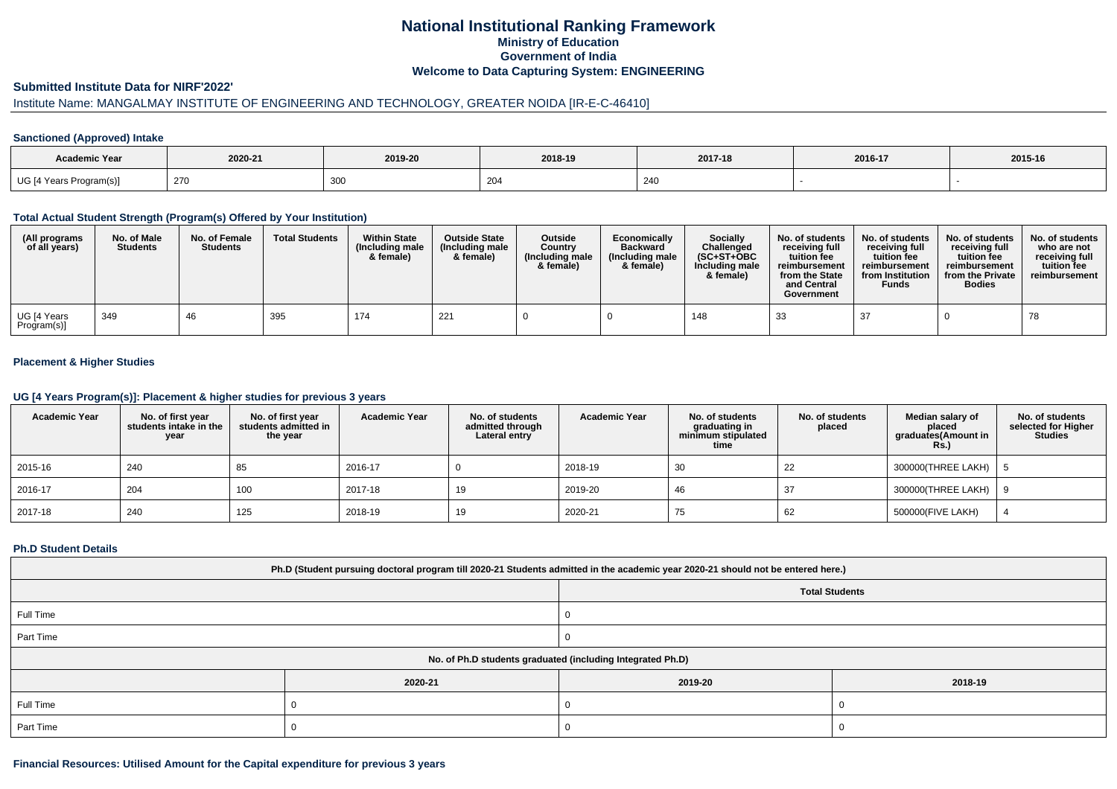# **National Institutional Ranking FrameworkMinistry of Education Government of IndiaWelcome to Data Capturing System: ENGINEERING**

### **Submitted Institute Data for NIRF'2022'**

# Institute Name: MANGALMAY INSTITUTE OF ENGINEERING AND TECHNOLOGY, GREATER NOIDA [IR-E-C-46410]

#### **Sanctioned (Approved) Intake**

| Academic Year           |         |             |               |         |         |         |
|-------------------------|---------|-------------|---------------|---------|---------|---------|
|                         | 2020-21 | 2019-20     | 2018-19       | 2017-18 | 2016-17 | 2015-16 |
| UG [4 Years Program(s)] | 270     | 200<br>ັບບບ | $\sim$<br>204 | 240     |         |         |

### **Total Actual Student Strength (Program(s) Offered by Your Institution)**

| (All programs<br>of all years) | No. of Male<br><b>Students</b> | No. of Female<br><b>Students</b> | <b>Total Students</b> | <b>Within State</b><br>(Including male<br>& female) | <b>Outside State</b><br>(Including male<br>& female) | Outside<br>Country<br>(Including male<br>& female) | Economically<br><b>Backward</b><br>(Including male<br>& female) | <b>Socially</b><br>Challenged<br>$(SC+ST+OBC$<br>Including male<br>& female) | No. of students<br>receivina full<br>tuition fee<br>reimbursement<br>from the State<br>and Central<br>Government | No. of students<br>receiving full<br>tuition fee<br>reimbursement<br>from Institution<br><b>Funds</b> | No. of students<br>receiving full<br>tuition fee<br>reimbursement<br>from the Private<br><b>Bodies</b> | No. of students  <br>who are not<br>receivina full<br>tuition fee<br>reimbursement |
|--------------------------------|--------------------------------|----------------------------------|-----------------------|-----------------------------------------------------|------------------------------------------------------|----------------------------------------------------|-----------------------------------------------------------------|------------------------------------------------------------------------------|------------------------------------------------------------------------------------------------------------------|-------------------------------------------------------------------------------------------------------|--------------------------------------------------------------------------------------------------------|------------------------------------------------------------------------------------|
| UG [4 Years<br>Program(s)]     | 349                            | 46                               | 395                   | 174                                                 | 221                                                  |                                                    |                                                                 | 148                                                                          | 33                                                                                                               | 37                                                                                                    |                                                                                                        | 78                                                                                 |

## **Placement & Higher Studies**

### **UG [4 Years Program(s)]: Placement & higher studies for previous 3 years**

| <b>Academic Year</b> | No. of first year<br>students intake in the<br>year | No. of first year<br>students admitted in<br>the year | <b>Academic Year</b> | No. of students<br>admitted through<br>Lateral entry | <b>Academic Year</b> | No. of students<br>graduating in<br>minimum stipulated<br>time | No. of students<br>placed | Median salary of<br>placed<br>graduates(Amount in<br><b>Rs.)</b> | No. of students<br>selected for Higher<br><b>Studies</b> |
|----------------------|-----------------------------------------------------|-------------------------------------------------------|----------------------|------------------------------------------------------|----------------------|----------------------------------------------------------------|---------------------------|------------------------------------------------------------------|----------------------------------------------------------|
| 2015-16              | 240                                                 | 85                                                    | 2016-17              |                                                      | 2018-19              | 30                                                             | 22                        | 300000(THREE LAKH)                                               |                                                          |
| 2016-17              | 204                                                 | 100                                                   | 2017-18              | 19                                                   | 2019-20              | 46                                                             |                           | 300000(THREE LAKH)   9                                           |                                                          |
| $ 2017-18$           | 240                                                 | 125                                                   | 2018-19              | 19                                                   | 2020-21              | 75                                                             | 62                        | 500000(FIVE LAKH)                                                |                                                          |

#### **Ph.D Student Details**

| Ph.D (Student pursuing doctoral program till 2020-21 Students admitted in the academic year 2020-21 should not be entered here.) |         |                       |         |  |  |  |  |
|----------------------------------------------------------------------------------------------------------------------------------|---------|-----------------------|---------|--|--|--|--|
|                                                                                                                                  |         | <b>Total Students</b> |         |  |  |  |  |
| Full Time                                                                                                                        |         |                       |         |  |  |  |  |
| Part Time                                                                                                                        |         |                       |         |  |  |  |  |
| No. of Ph.D students graduated (including Integrated Ph.D)                                                                       |         |                       |         |  |  |  |  |
|                                                                                                                                  | 2020-21 | 2019-20               | 2018-19 |  |  |  |  |
| Full Time                                                                                                                        |         |                       |         |  |  |  |  |
| Part Time                                                                                                                        |         |                       |         |  |  |  |  |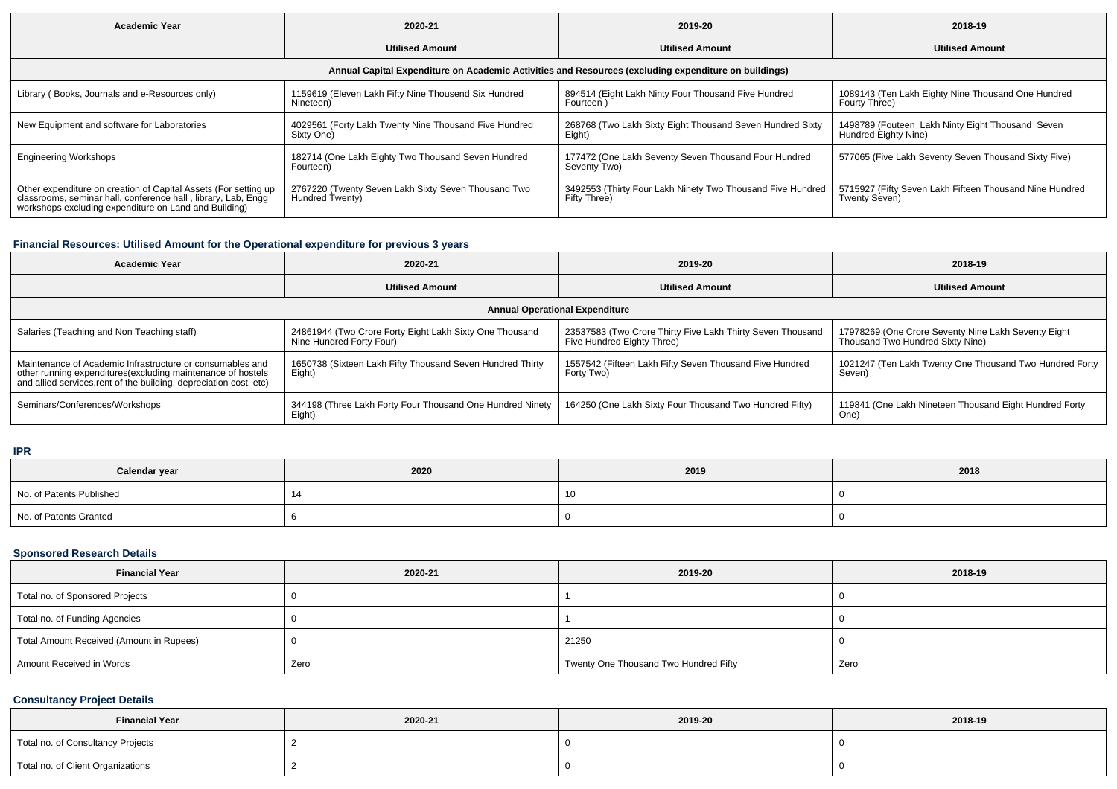| <b>Academic Year</b>                                                                                                                                                                   | 2020-21                                                                | 2019-20                                                                    | 2018-19                                                                  |  |  |  |  |  |  |
|----------------------------------------------------------------------------------------------------------------------------------------------------------------------------------------|------------------------------------------------------------------------|----------------------------------------------------------------------------|--------------------------------------------------------------------------|--|--|--|--|--|--|
|                                                                                                                                                                                        | <b>Utilised Amount</b>                                                 | <b>Utilised Amount</b>                                                     | <b>Utilised Amount</b>                                                   |  |  |  |  |  |  |
| Annual Capital Expenditure on Academic Activities and Resources (excluding expenditure on buildings)                                                                                   |                                                                        |                                                                            |                                                                          |  |  |  |  |  |  |
| Library (Books, Journals and e-Resources only)                                                                                                                                         | 1159619 (Eleven Lakh Fifty Nine Thousend Six Hundred<br>Nineteen)      | 894514 (Eight Lakh Ninty Four Thousand Five Hundred<br>Fourteen )          | 1089143 (Ten Lakh Eighty Nine Thousand One Hundred<br>Fourty Three)      |  |  |  |  |  |  |
| New Equipment and software for Laboratories                                                                                                                                            | 4029561 (Forty Lakh Twenty Nine Thousand Five Hundred<br>Sixty One)    | 268768 (Two Lakh Sixty Eight Thousand Seven Hundred Sixty<br>Eight)        | 1498789 (Fouteen Lakh Ninty Eight Thousand Seven<br>Hundred Eighty Nine) |  |  |  |  |  |  |
| <b>Engineering Workshops</b>                                                                                                                                                           | 182714 (One Lakh Eighty Two Thousand Seven Hundred<br>Fourteen)        | 177472 (One Lakh Seventy Seven Thousand Four Hundred<br>Seventy Two)       | 577065 (Five Lakh Seventy Seven Thousand Sixty Five)                     |  |  |  |  |  |  |
| Other expenditure on creation of Capital Assets (For setting up classrooms, seminar hall, conference hall, library, Lab, Engg<br>workshops excluding expenditure on Land and Building) | 2767220 (Twenty Seven Lakh Sixty Seven Thousand Two<br>Hundred Twenty) | 3492553 (Thirty Four Lakh Ninety Two Thousand Five Hundred<br>Fifty Three) | 5715927 (Fifty Seven Lakh Fifteen Thousand Nine Hundred<br>Twenty Seven) |  |  |  |  |  |  |

## **Financial Resources: Utilised Amount for the Operational expenditure for previous 3 years**

| <b>Academic Year</b>                                                                                                                                                                            | 2020-21                                                                             | 2019-20                                                                                  | 2018-19                                                                                 |  |  |  |  |  |  |
|-------------------------------------------------------------------------------------------------------------------------------------------------------------------------------------------------|-------------------------------------------------------------------------------------|------------------------------------------------------------------------------------------|-----------------------------------------------------------------------------------------|--|--|--|--|--|--|
|                                                                                                                                                                                                 | <b>Utilised Amount</b>                                                              | <b>Utilised Amount</b>                                                                   | <b>Utilised Amount</b>                                                                  |  |  |  |  |  |  |
| <b>Annual Operational Expenditure</b>                                                                                                                                                           |                                                                                     |                                                                                          |                                                                                         |  |  |  |  |  |  |
| Salaries (Teaching and Non Teaching staff)                                                                                                                                                      | 24861944 (Two Crore Forty Eight Lakh Sixty One Thousand<br>Nine Hundred Forty Four) | 23537583 (Two Crore Thirty Five Lakh Thirty Seven Thousand<br>Five Hundred Eighty Three) | 17978269 (One Crore Seventy Nine Lakh Seventy Eight<br>Thousand Two Hundred Sixty Nine) |  |  |  |  |  |  |
| Maintenance of Academic Infrastructure or consumables and<br>other running expenditures (excluding maintenance of hostels<br>and allied services, rent of the building, depreciation cost, etc) | 1650738 (Sixteen Lakh Fifty Thousand Seven Hundred Thirty<br>Eight)                 | 1557542 (Fifteen Lakh Fifty Seven Thousand Five Hundred<br>Forty Two)                    | 1021247 (Ten Lakh Twenty One Thousand Two Hundred Forty<br>Seven)                       |  |  |  |  |  |  |
| Seminars/Conferences/Workshops                                                                                                                                                                  | 344198 (Three Lakh Forty Four Thousand One Hundred Ninety<br>Eight)                 | 164250 (One Lakh Sixty Four Thousand Two Hundred Fifty)                                  | 119841 (One Lakh Nineteen Thousand Eight Hundred Forty<br>One <sup>'</sup>              |  |  |  |  |  |  |

**IPR**

| Calendar year            | 2020 | 2019 | 2018 |
|--------------------------|------|------|------|
| No. of Patents Published |      |      |      |
| No. of Patents Granted   |      |      |      |

# **Sponsored Research Details**

| <b>Financial Year</b>                    | 2020-21 | 2019-20                               | 2018-19 |
|------------------------------------------|---------|---------------------------------------|---------|
| Total no. of Sponsored Projects          |         |                                       |         |
| Total no. of Funding Agencies            |         |                                       |         |
| Total Amount Received (Amount in Rupees) |         | 21250                                 |         |
| Amount Received in Words                 | Zero    | Twenty One Thousand Two Hundred Fifty | Zero    |

# **Consultancy Project Details**

| <b>Financial Year</b>             | 2020-21 | 2019-20 | 2018-19 |
|-----------------------------------|---------|---------|---------|
| Total no. of Consultancy Projects |         |         |         |
| Total no. of Client Organizations |         |         |         |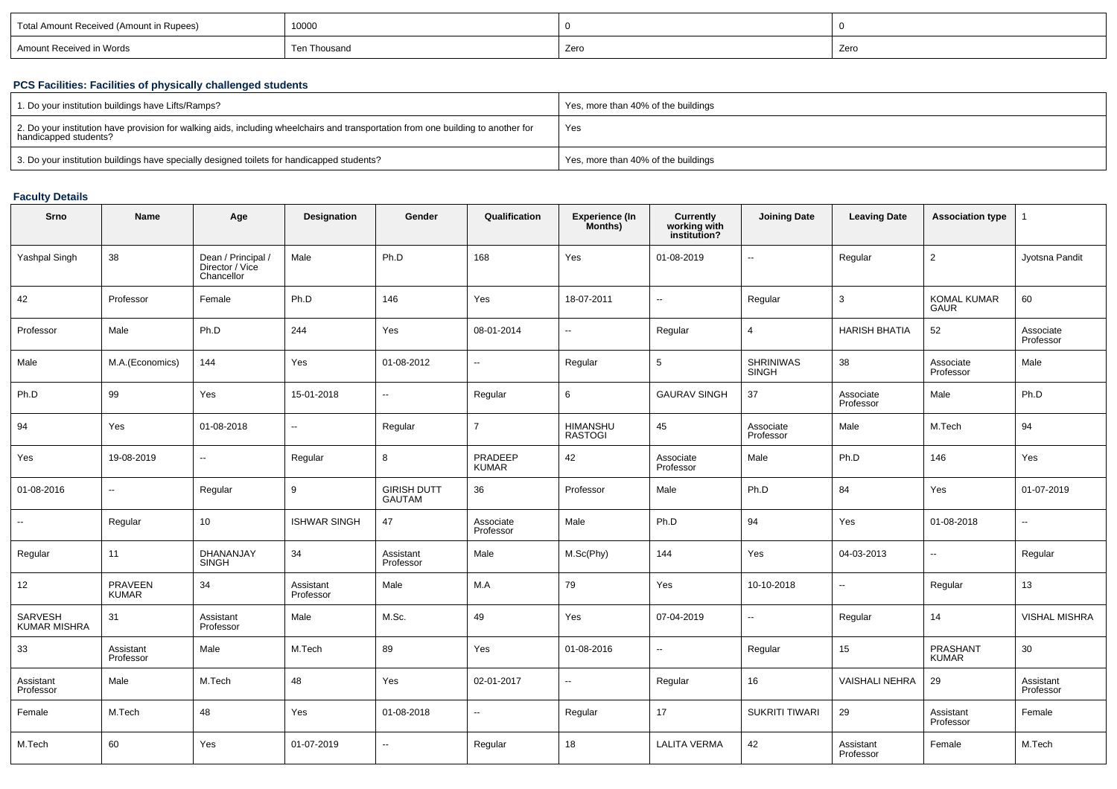| 10000<br>Total Amount Received (Amount in Rupees) |          |      |      |  |
|---------------------------------------------------|----------|------|------|--|
| Amount Received in Words                          | Thousano | Zero | Zero |  |

## **PCS Facilities: Facilities of physically challenged students**

| 1. Do your institution buildings have Lifts/Ramps?                                                                                                         | Yes, more than 40% of the buildings |
|------------------------------------------------------------------------------------------------------------------------------------------------------------|-------------------------------------|
| 2. Do your institution have provision for walking aids, including wheelchairs and transportation from one building to another for<br>handicapped students? | Yes                                 |
| 3. Do your institution buildings have specially designed toilets for handicapped students?                                                                 | Yes, more than 40% of the buildings |

# **Faculty Details**

| Srno                    | <b>Name</b>              | Age                                                 | Designation            | Gender                       | Qualification            | <b>Experience (In</b><br>Months) | <b>Currently</b><br>working with<br>institution? | <b>Joining Date</b>       | <b>Leaving Date</b>    | <b>Association type</b>           |                          |
|-------------------------|--------------------------|-----------------------------------------------------|------------------------|------------------------------|--------------------------|----------------------------------|--------------------------------------------------|---------------------------|------------------------|-----------------------------------|--------------------------|
| Yashpal Singh           | 38                       | Dean / Principal /<br>Director / Vice<br>Chancellor | Male                   | Ph.D                         | 168                      | Yes                              | 01-08-2019                                       | $\sim$                    | Regular                | $\overline{2}$                    | Jyotsna Pandit           |
| 42                      | Professor                | Female                                              | Ph.D                   | 146                          | Yes                      | 18-07-2011                       | $\ddotsc$                                        | Regular                   | 3                      | <b>KOMAL KUMAR</b><br><b>GAUR</b> | 60                       |
| Professor               | Male                     | Ph.D                                                | 244                    | Yes                          | 08-01-2014               | Ξ.                               | Regular                                          | $\overline{4}$            | <b>HARISH BHATIA</b>   | 52                                | Associate<br>Professor   |
| Male                    | M.A.(Economics)          | 144                                                 | Yes                    | 01-08-2012                   | $\overline{a}$           | Regular                          | $\sqrt{5}$                                       | <b>SHRINIWAS</b><br>SINGH | 38                     | Associate<br>Professor            | Male                     |
| Ph.D                    | 99                       | Yes                                                 | 15-01-2018             | $\overline{\phantom{a}}$     | Regular                  | 6                                | <b>GAURAV SINGH</b>                              | 37                        | Associate<br>Professor | Male                              | Ph.D                     |
| 94                      | Yes                      | 01-08-2018                                          | u.                     | Regular                      | $\overline{7}$           | HIMANSHU<br>RASTOGI              | 45                                               | Associate<br>Professor    | Male                   | M.Tech                            | 94                       |
| Yes                     | 19-08-2019               | $\overline{\phantom{a}}$                            | Regular                | 8                            | PRADEEP<br>KUMAR         | 42                               | Associate<br>Professor                           | Male                      | Ph.D                   | 146                               | Yes                      |
| 01-08-2016              | $\overline{\phantom{a}}$ | Regular                                             | 9                      | <b>GIRISH DUTT</b><br>GAUTAM | 36                       | Professor                        | Male                                             | Ph.D                      | 84                     | Yes                               | 01-07-2019               |
| $\sim$                  | Regular                  | 10                                                  | <b>ISHWAR SINGH</b>    | 47                           | Associate<br>Professor   | Male                             | Ph.D                                             | 94                        | Yes                    | 01-08-2018                        | $\overline{\phantom{a}}$ |
| Regular                 | 11                       | DHANANJAY<br><b>SINGH</b>                           | 34                     | Assistant<br>Professor       | Male                     | M.Sc(Phy)                        | 144                                              | Yes                       | 04-03-2013             | $\overline{\phantom{a}}$          | Regular                  |
| 12                      | PRAVEEN<br>KUMAR         | 34                                                  | Assistant<br>Professor | Male                         | M.A                      | 79                               | Yes                                              | 10-10-2018                | $\sim$                 | Regular                           | 13                       |
| SARVESH<br>KUMAR MISHRA | 31                       | Assistant<br>Professor                              | Male                   | M.Sc.                        | 49                       | Yes                              | 07-04-2019                                       | $\overline{a}$            | Regular                | 14                                | VISHAL MISHRA            |
| 33                      | Assistant<br>Professor   | Male                                                | M.Tech                 | 89                           | Yes                      | 01-08-2016                       | Ξ.                                               | Regular                   | 15                     | PRASHANT<br>KUMAR                 | 30                       |
| Assistant<br>Professor  | Male                     | M.Tech                                              | 48                     | Yes                          | 02-01-2017               | н.                               | Regular                                          | 16                        | <b>VAISHALI NEHRA</b>  | 29                                | Assistant<br>Professor   |
| Female                  | M.Tech                   | 48                                                  | Yes                    | 01-08-2018                   | $\overline{\phantom{a}}$ | Regular                          | 17                                               | <b>SUKRITI TIWARI</b>     | 29                     | Assistant<br>Professor            | Female                   |
| M.Tech                  | 60                       | Yes                                                 | 01-07-2019             | $\overline{\phantom{a}}$     | Regular                  | 18                               | <b>LALITA VERMA</b>                              | 42                        | Assistant<br>Professor | Female                            | M.Tech                   |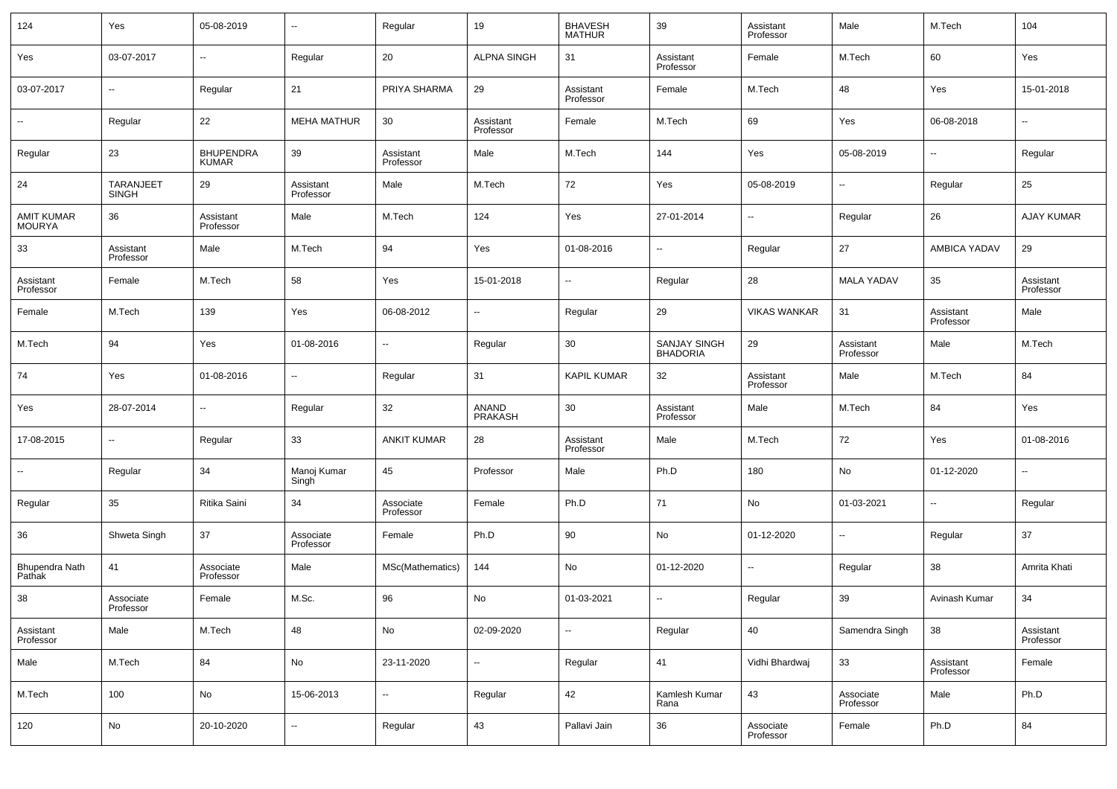| 124                      | Yes                    | 05-08-2019               |                          | Regular                  | 19                       | BHAVESH<br>MATHUR      | 39                       | Assistant<br>Professor | Male                   | M.Tech                   | 104                    |
|--------------------------|------------------------|--------------------------|--------------------------|--------------------------|--------------------------|------------------------|--------------------------|------------------------|------------------------|--------------------------|------------------------|
| Yes                      | 03-07-2017             | н.                       | Regular                  | 20                       | <b>ALPNA SINGH</b>       | 31                     | Assistant<br>Professor   | Female                 | M.Tech                 | 60                       | Yes                    |
| 03-07-2017               | --                     | Regular                  | 21                       | PRIYA SHARMA             | 29                       | Assistant<br>Professor | Female                   | M.Tech                 | 48                     | Yes                      | 15-01-2018             |
|                          | Regular                | 22                       | <b>MEHA MATHUR</b>       | 30                       | Assistant<br>Professor   | Female                 | M.Tech                   | 69                     | Yes                    | 06-08-2018               | --                     |
| Regular                  | 23                     | BHUPENDRA<br>KUMAR       | 39                       | Assistant<br>Professor   | Male                     | M.Tech                 | 144                      | Yes                    | 05-08-2019             | $\sim$                   | Regular                |
| 24                       | TARANJEET<br>SINGH     | 29                       | Assistant<br>Professor   | Male                     | M.Tech                   | 72                     | Yes                      | 05-08-2019             | н.                     | Regular                  | 25                     |
| AMIT KUMAR<br>MOURYA     | 36                     | Assistant<br>Professor   | Male                     | M.Tech                   | 124                      | Yes                    | 27-01-2014               | ⊶.                     | Regular                | 26                       | AJAY KUMAR             |
| 33                       | Assistant<br>Professor | Male                     | M.Tech                   | 94                       | Yes                      | 01-08-2016             | ⊶.                       | Regular                | 27                     | AMBICA YADAV             | 29                     |
| Assistant<br>Professor   | Female                 | M.Tech                   | 58                       | Yes                      | 15-01-2018               | н.                     | Regular                  | 28                     | <b>MALA YADAV</b>      | 35                       | Assistant<br>Professor |
| Female                   | M.Tech                 | 139                      | Yes                      | 06-08-2012               | $\overline{\phantom{a}}$ | Regular                | 29                       | <b>VIKAS WANKAR</b>    | 31                     | Assistant<br>Professor   | Male                   |
| M.Tech                   | 94                     | Yes                      | 01-08-2016               | $\sim$                   | Regular                  | 30                     | SANJAY SINGH<br>BHADORIA | 29                     | Assistant<br>Professor | Male                     | M.Tech                 |
| 74                       | Yes                    | 01-08-2016               | $\overline{\phantom{a}}$ | Regular                  | 31                       | <b>KAPIL KUMAR</b>     | 32                       | Assistant<br>Professor | Male                   | M.Tech                   | 84                     |
| Yes                      | 28-07-2014             | $\overline{\phantom{a}}$ | Regular                  | 32                       | ANAND<br><b>PRAKASH</b>  | 30                     | Assistant<br>Professor   | Male                   | M.Tech                 | 84                       | Yes                    |
| 17-08-2015               | ٠.                     | Regular                  | 33                       | <b>ANKIT KUMAR</b>       | 28                       | Assistant<br>Professor | Male                     | M.Tech                 | 72                     | Yes                      | 01-08-2016             |
| ⊷.                       | Regular                | 34                       | Manoj Kumar<br>Singh     | 45                       | Professor                | Male                   | Ph.D                     | 180                    | No                     | 01-12-2020               | --                     |
| Regular                  | 35                     | Ritika Saini             | 34                       | Associate<br>Professor   | Female                   | Ph.D                   | 71                       | No                     | 01-03-2021             | $\overline{\phantom{a}}$ | Regular                |
| 36                       | Shweta Singh           | 37                       | Associate<br>Professor   | Female                   | Ph.D                     | 90                     | No                       | 01-12-2020             | н.                     | Regular                  | 37                     |
| Bhupendra Nath<br>Pathak | 41                     | Associate<br>Professor   | Male                     | MSc(Mathematics)         | 144                      | No                     | 01-12-2020               | --                     | Regular                | 38                       | Amrita Khati           |
| 38                       | Associate<br>Professor | Female                   | M.Sc.                    | 96                       | No                       | 01-03-2021             | $\overline{\phantom{a}}$ | Regular                | 39                     | Avinash Kumar            | 34                     |
| Assistant<br>Professor   | Male                   | M.Tech                   | 48                       | No                       | 02-09-2020               | ⊶.                     | Regular                  | 40                     | Samendra Singh         | 38                       | Assistant<br>Professor |
| Male                     | M.Tech                 | 84                       | No                       | 23-11-2020               | ۰.                       | Regular                | 41                       | Vidhi Bhardwaj         | 33                     | Assistant<br>Professor   | Female                 |
| M.Tech                   | 100                    | No                       | 15-06-2013               | $\overline{\phantom{a}}$ | Regular                  | 42                     | Kamlesh Kumar<br>Rana    | 43                     | Associate<br>Professor | Male                     | Ph.D                   |
| 120                      | No                     | 20-10-2020               | $\overline{\phantom{a}}$ | Regular                  | 43                       | Pallavi Jain           | 36                       | Associate<br>Professor | Female                 | Ph.D                     | 84                     |